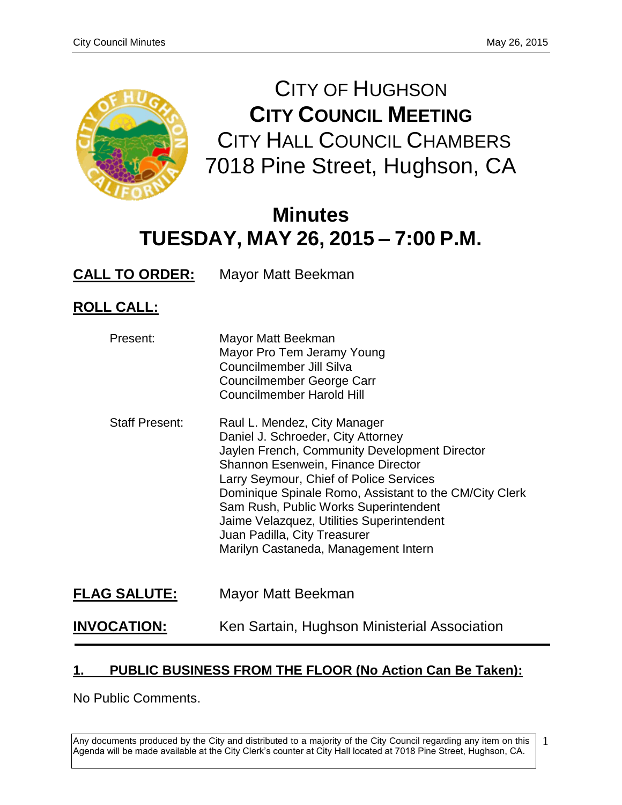

CITY OF HUGHSON **CITY COUNCIL MEETING** CITY HALL COUNCIL CHAMBERS 7018 Pine Street, Hughson, CA

# **Minutes TUESDAY, MAY 26, 2015 – 7:00 P.M.**

**CALL TO ORDER:** Mayor Matt Beekman

# **ROLL CALL:**

| Present:              | Mayor Matt Beekman<br>Mayor Pro Tem Jeramy Young<br>Councilmember Jill Silva<br><b>Councilmember George Carr</b><br>Councilmember Harold Hill                                                                                                                                                                                                                                                                                |
|-----------------------|------------------------------------------------------------------------------------------------------------------------------------------------------------------------------------------------------------------------------------------------------------------------------------------------------------------------------------------------------------------------------------------------------------------------------|
| <b>Staff Present:</b> | Raul L. Mendez, City Manager<br>Daniel J. Schroeder, City Attorney<br>Jaylen French, Community Development Director<br>Shannon Esenwein, Finance Director<br>Larry Seymour, Chief of Police Services<br>Dominique Spinale Romo, Assistant to the CM/City Clerk<br>Sam Rush, Public Works Superintendent<br>Jaime Velazquez, Utilities Superintendent<br>Juan Padilla, City Treasurer<br>Marilyn Castaneda, Management Intern |
| <b>FLAG SALUTE:</b>   | Mayor Matt Beekman                                                                                                                                                                                                                                                                                                                                                                                                           |

# **INVOCATION:** Ken Sartain, Hughson Ministerial Association

## **1. PUBLIC BUSINESS FROM THE FLOOR (No Action Can Be Taken):**

No Public Comments.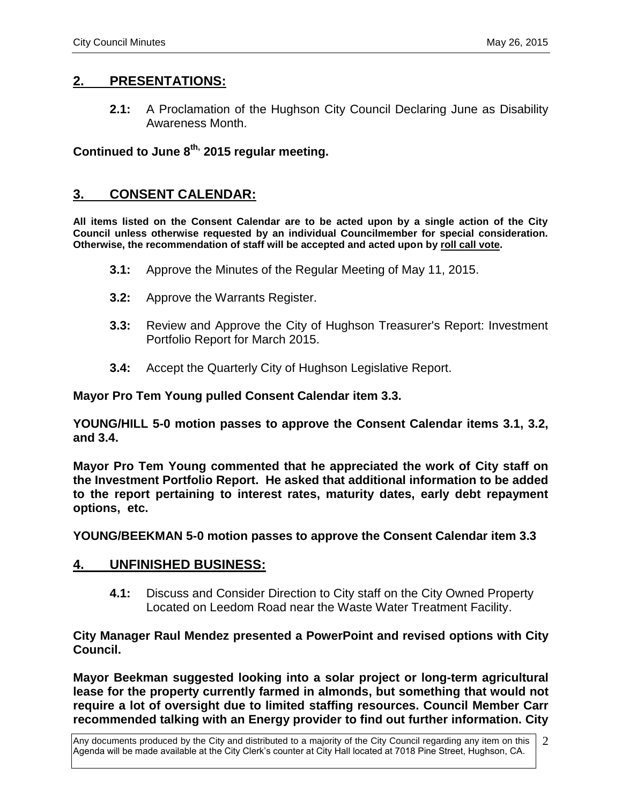### **2. PRESENTATIONS:**

**2.1:** A Proclamation of the Hughson City Council Declaring June as Disability Awareness Month.

**Continued to June 8th, 2015 regular meeting.**

### **3. CONSENT CALENDAR:**

**All items listed on the Consent Calendar are to be acted upon by a single action of the City Council unless otherwise requested by an individual Councilmember for special consideration. Otherwise, the recommendation of staff will be accepted and acted upon by roll call vote.**

- **3.1:** Approve the Minutes of the Regular Meeting of May 11, 2015.
- **3.2:** Approve the Warrants Register.
- **3.3:** Review and Approve the City of Hughson Treasurer's Report: Investment Portfolio Report for March 2015.
- **3.4:** Accept the Quarterly City of Hughson Legislative Report.

**Mayor Pro Tem Young pulled Consent Calendar item 3.3.**

**YOUNG/HILL 5-0 motion passes to approve the Consent Calendar items 3.1, 3.2, and 3.4.** 

**Mayor Pro Tem Young commented that he appreciated the work of City staff on the Investment Portfolio Report. He asked that additional information to be added to the report pertaining to interest rates, maturity dates, early debt repayment options, etc.** 

**YOUNG/BEEKMAN 5-0 motion passes to approve the Consent Calendar item 3.3**

#### **4. UNFINISHED BUSINESS:**

**4.1:** Discuss and Consider Direction to City staff on the City Owned Property Located on Leedom Road near the Waste Water Treatment Facility.

#### **City Manager Raul Mendez presented a PowerPoint and revised options with City Council.**

**Mayor Beekman suggested looking into a solar project or long-term agricultural lease for the property currently farmed in almonds, but something that would not require a lot of oversight due to limited staffing resources. Council Member Carr recommended talking with an Energy provider to find out further information. City**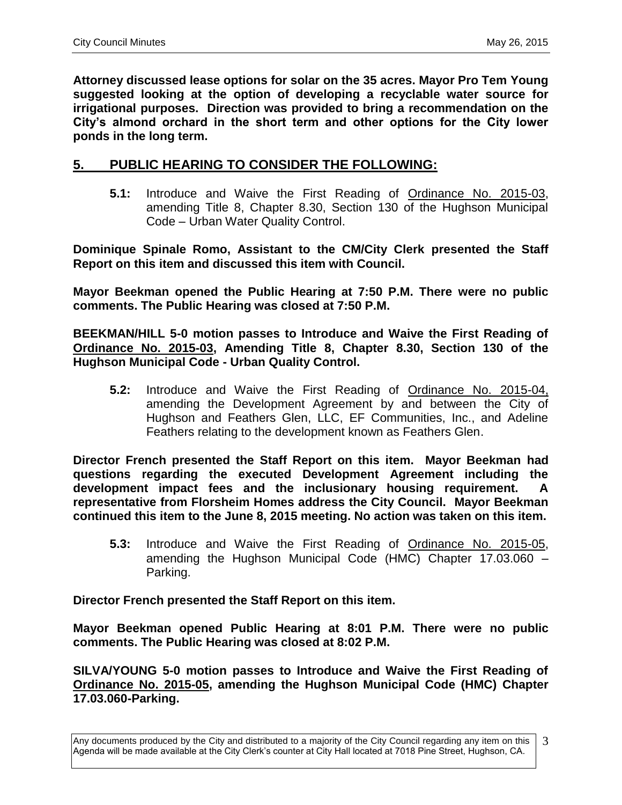**Attorney discussed lease options for solar on the 35 acres. Mayor Pro Tem Young suggested looking at the option of developing a recyclable water source for irrigational purposes. Direction was provided to bring a recommendation on the City's almond orchard in the short term and other options for the City lower ponds in the long term.** 

### **5. PUBLIC HEARING TO CONSIDER THE FOLLOWING:**

**5.1:** Introduce and Waive the First Reading of Ordinance No. 2015-03, amending Title 8, Chapter 8.30, Section 130 of the Hughson Municipal Code – Urban Water Quality Control.

**Dominique Spinale Romo, Assistant to the CM/City Clerk presented the Staff Report on this item and discussed this item with Council.**

**Mayor Beekman opened the Public Hearing at 7:50 P.M. There were no public comments. The Public Hearing was closed at 7:50 P.M.**

**BEEKMAN/HILL 5-0 motion passes to Introduce and Waive the First Reading of Ordinance No. 2015-03, Amending Title 8, Chapter 8.30, Section 130 of the Hughson Municipal Code - Urban Quality Control.**

**5.2:** Introduce and Waive the First Reading of Ordinance No. 2015-04, amending the Development Agreement by and between the City of Hughson and Feathers Glen, LLC, EF Communities, Inc., and Adeline Feathers relating to the development known as Feathers Glen.

**Director French presented the Staff Report on this item. Mayor Beekman had questions regarding the executed Development Agreement including the development impact fees and the inclusionary housing requirement. A representative from Florsheim Homes address the City Council. Mayor Beekman continued this item to the June 8, 2015 meeting. No action was taken on this item.**

**5.3:** Introduce and Waive the First Reading of Ordinance No. 2015-05, amending the Hughson Municipal Code (HMC) Chapter 17.03.060 – Parking.

**Director French presented the Staff Report on this item.**

**Mayor Beekman opened Public Hearing at 8:01 P.M. There were no public comments. The Public Hearing was closed at 8:02 P.M.**

**SILVA/YOUNG 5-0 motion passes to Introduce and Waive the First Reading of Ordinance No. 2015-05, amending the Hughson Municipal Code (HMC) Chapter 17.03.060-Parking.**

Any documents produced by the City and distributed to a majority of the City Council regarding any item on this Agenda will be made available at the City Clerk's counter at City Hall located at 7018 Pine Street, Hughson, CA. 3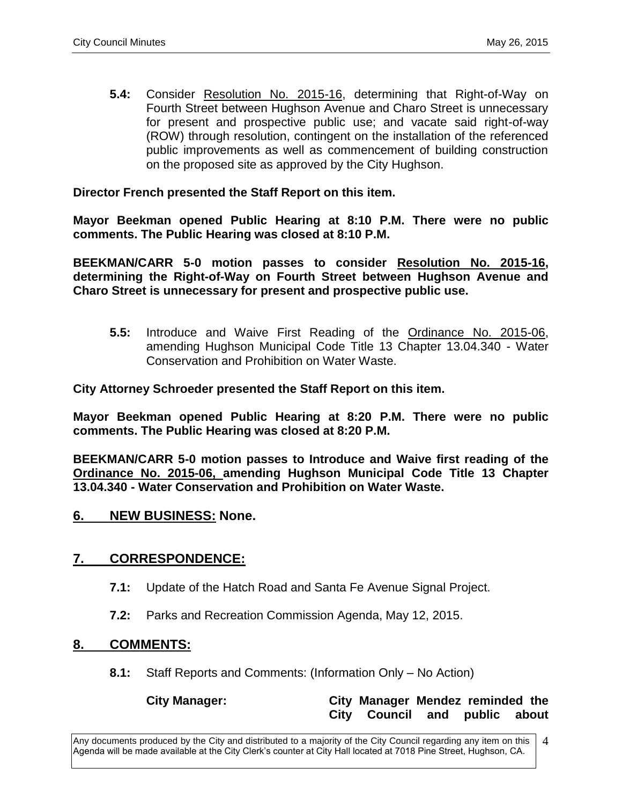**5.4:** Consider Resolution No. 2015-16, determining that Right-of-Way on Fourth Street between Hughson Avenue and Charo Street is unnecessary for present and prospective public use; and vacate said right-of-way (ROW) through resolution, contingent on the installation of the referenced public improvements as well as commencement of building construction on the proposed site as approved by the City Hughson.

#### **Director French presented the Staff Report on this item.**

**Mayor Beekman opened Public Hearing at 8:10 P.M. There were no public comments. The Public Hearing was closed at 8:10 P.M.**

**BEEKMAN/CARR 5-0 motion passes to consider Resolution No. 2015-16, determining the Right-of-Way on Fourth Street between Hughson Avenue and Charo Street is unnecessary for present and prospective public use.**

**5.5:** Introduce and Waive First Reading of the Ordinance No. 2015-06, amending Hughson Municipal Code Title 13 Chapter 13.04.340 - Water Conservation and Prohibition on Water Waste.

**City Attorney Schroeder presented the Staff Report on this item.**

**Mayor Beekman opened Public Hearing at 8:20 P.M. There were no public comments. The Public Hearing was closed at 8:20 P.M.**

**BEEKMAN/CARR 5-0 motion passes to Introduce and Waive first reading of the Ordinance No. 2015-06, amending Hughson Municipal Code Title 13 Chapter 13.04.340 - Water Conservation and Prohibition on Water Waste.**

#### **6. NEW BUSINESS: None.**

#### **7. CORRESPONDENCE:**

- **7.1:** Update of the Hatch Road and Santa Fe Avenue Signal Project.
- **7.2:** Parks and Recreation Commission Agenda, May 12, 2015.

#### **8. COMMENTS:**

**8.1:** Staff Reports and Comments: (Information Only – No Action)

#### **City Manager: City Manager Mendez reminded the City Council and public about**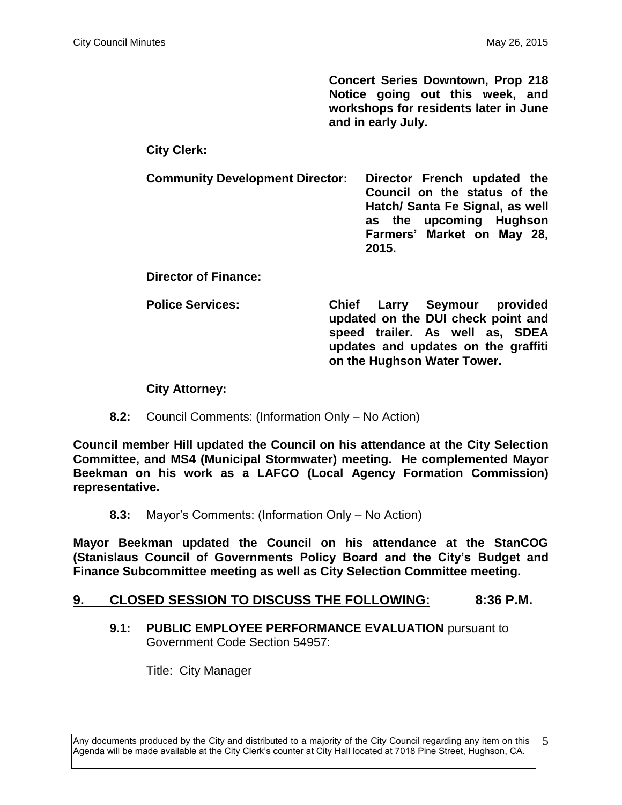**Concert Series Downtown, Prop 218 Notice going out this week, and workshops for residents later in June and in early July.** 

### **City Clerk:**

**Community Development Director: Director French updated the Council on the status of the Hatch/ Santa Fe Signal, as well as the upcoming Hughson Farmers' Market on May 28, 2015.** 

**Director of Finance:**

**Police Services: Chief Larry Seymour provided updated on the DUI check point and speed trailer. As well as, SDEA updates and updates on the graffiti on the Hughson Water Tower.**

#### **City Attorney:**

**8.2:** Council Comments: (Information Only – No Action)

**Council member Hill updated the Council on his attendance at the City Selection Committee, and MS4 (Municipal Stormwater) meeting. He complemented Mayor Beekman on his work as a LAFCO (Local Agency Formation Commission) representative.**

**8.3:** Mayor's Comments: (Information Only – No Action)

**Mayor Beekman updated the Council on his attendance at the StanCOG (Stanislaus Council of Governments Policy Board and the City's Budget and Finance Subcommittee meeting as well as City Selection Committee meeting.** 

#### **9. CLOSED SESSION TO DISCUSS THE FOLLOWING: 8:36 P.M.**

**9.1: PUBLIC EMPLOYEE PERFORMANCE EVALUATION** pursuant to Government Code Section 54957:

Title: City Manager